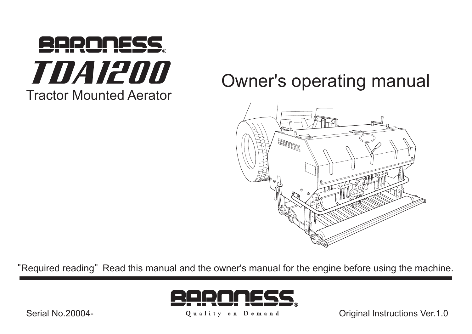

# Owner's operating manual



"Required reading" Read this manual and the owner's manual for the engine before using the machine.



Quality on Demand

Original Instructions Ver.1.0

Serial No. 20004-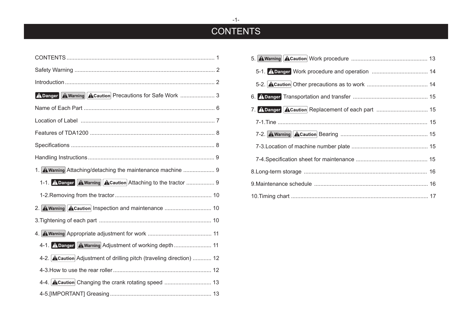## **CONTENTS**

| A Danger A Warning A Caution Precautions for Safe Work  3             |
|-----------------------------------------------------------------------|
|                                                                       |
|                                                                       |
|                                                                       |
|                                                                       |
|                                                                       |
| 1. A Warning Attaching/detaching the maintenance machine  9           |
|                                                                       |
| 1-1. A Danger A Warning A Caution Attaching to the tractor  9         |
|                                                                       |
| 2. A Warning A Caution Inspection and maintenance  10                 |
|                                                                       |
|                                                                       |
| 4-1. A Danger A Warning Adjustment of working depth  11               |
| 4-2. A Caution Adjustment of drilling pitch (traveling direction)  12 |
|                                                                       |
|                                                                       |

| 7. A Danger A Caution Replacement of each part  15 |  |
|----------------------------------------------------|--|
|                                                    |  |
|                                                    |  |
|                                                    |  |
|                                                    |  |
|                                                    |  |
|                                                    |  |
|                                                    |  |

 $-1-$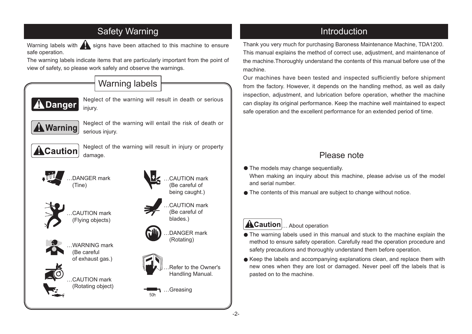<span id="page-2-0"></span>

Thank you very much for purchasing Baroness Maintenance Machine, TDA1200. This manual explains the method of correct use, adjustment, and maintenance of the machine. Thoroughly understand the contents of this manual before use of the .machine

Our machines have been tested and inspected sufficiently before shipment from the factory. However, it depends on the handling method, as well as daily inspection, adjustment, and lubrication before operation, whether the machine can display its original performance. Keep the machine well maintained to expect safe operation and the excellent performance for an extended period of time.

## Please note

**.** The models may change sequentially. When making an inquiry about this machine, please advise us of the model and serial number

● The contents of this manual are subiect to change without notice.

## **ACaution** About operation

- The warning labels used in this manual and stuck to the machine explain the method to ensure safety operation. Carefully read the operation procedure and safety precautions and thoroughly understand them before operation.
- Keep the labels and accompanying explanations clean, and replace them with new ones when they are lost or damaged. Never peel off the labels that is pasted on to the machine.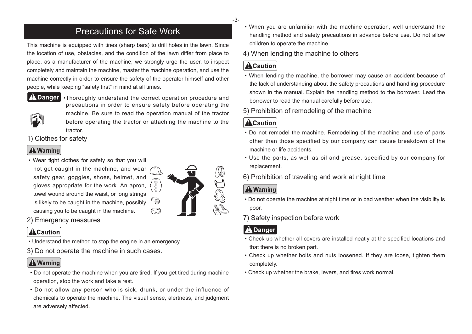## **Precautions for Safe Work**

<span id="page-3-0"></span>This machine is equipped with tines (sharp bars) to drill holes in the lawn. Since the location of use, obstacles, and the condition of the lawn differ from place to place, as a manufacturer of the machine, we strongly urge the user, to inspect completely and maintain the machine, master the machine operation, and use the machine correctly in order to ensure the safety of the operator himself and other people, while keeping "safety first" in mind at all times.



**A Danger** •Thoroughly understand the correct operation procedure and precautions in order to ensure safety before operating the machine. Be sure to read the operation manual of the tractor before operating the tractor or attaching the machine to the .tractor

#### 1) Clothes for safety

## **A** Warning

- Wear tight clothes for safety so that you will
- not get caught in the machine, and wear safety gear, goggles, shoes, helmet, and gloves appropriate for the work. An apron, towel wound around the waist, or long strings is likely to be caught in the machine, possibly causing you to be caught in the machine.



2) Emergency measures

## **ACaution**

- Understand the method to stop the engine in an emergency.
- 3) Do not operate the machine in such cases.

## **A** Warning

- Do not operate the machine when you are tired. If you get tired during machine operation, stop the work and take a rest.
- Do not allow any person who is sick, drunk, or under the influence of chemicals to operate the machine. The visual sense, alertness, and judgment are adversely affected.
- When you are unfamiliar with the machine operation, well understand the handling method and safety precautions in advance before use. Do not allow children to operate the machine.
- 4) When lending the machine to others

## **ACaution**

- When lending the machine, the borrower may cause an accident because of the lack of understanding about the safety precautions and handling procedure shown in the manual. Explain the handling method to the borrower. Lead the borrower to read the manual carefully before use.
- 5) Prohibition of remodeling of the machine

## **ACaution**

- Do not remodel the machine. Remodeling of the machine and use of parts other than those specified by our company can cause breakdown of the machine or life accidents
- Use the parts, as well as oil and grease, specified by our company for .replacement
- 6) Prohibition of traveling and work at night time

## **A** Warning

- Do not operate the machine at night time or in bad weather when the visibility is poor.
- 7) Safety inspection before work

## **ADanger**

- Check up whether all covers are installed neatly at the specified locations and that there is no broken part.
- Check up whether bolts and nuts loosened. If they are loose, tighten them .completely
- Check up whether the brake, levers, and tires work normal.

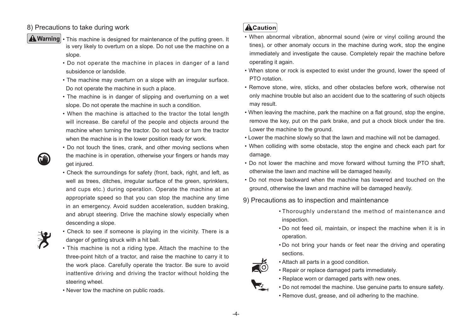#### 8) Precautions to take during work

- 
- $\triangle$  Warning  $\cdot$  This machine is designed for maintenance of the putting green. It is very likely to overturn on a slope. Do not use the machine on a slope.
	- Do not operate the machine in places in danger of a land subsidence or landslide.
	- The machine may overturn on a slope with an irregular surface. Do not operate the machine in such a place.
	- The machine is in danger of slipping and overturning on a wet slope. Do not operate the machine in such a condition.
	- When the machine is attached to the tractor the total length will increase. Be careful of the people and objects around the machine when turning the tractor. Do not back or turn the tractor when the machine is in the lower position ready for work.
	- Do not touch the tines, crank, and other moving sections when the machine is in operation, otherwise your fingers or hands may get injured.
	- Check the surroundings for safety (front, back, right, and left, as well as trees, ditches, irregular surface of the green, sprinklers, and cups etc.) during operation. Operate the machine at an appropriate speed so that you can stop the machine any time in an emergency. Avoid sudden acceleration, sudden braking, and abrupt steering. Drive the machine slowly especially when descending a slope.



- Check to see if someone is playing in the vicinity. There is a danger of getting struck with a hit ball.
- This machine is not a riding type. Attach the machine to the three-point hitch of a tractor, and raise the machine to carry it to the work place. Carefully operate the tractor. Be sure to avoid inattentive driving and driving the tractor without holding the steering wheel.
- Never tow the machine on public roads.

### **ACaution**

- When abnormal vibration, abnormal sound (wire or vinyl coiling around the tines), or other anomaly occurs in the machine during work, stop the engine immediately and investigate the cause. Completely repair the machine before operating it again.
- When stone or rock is expected to exist under the ground, lower the speed of PTO rotation
- Remove stone, wire, sticks, and other obstacles before work, otherwise not only machine trouble but also an accident due to the scattering of such objects may result.
- When leaving the machine, park the machine on a flat ground, stop the engine, remove the key, put on the park brake, and put a chock block under the tire. Lower the machine to the ground.
- . Lower the machine slowly so that the lawn and machine will not be damaged.
- When colliding with some obstacle, stop the engine and check each part for damage.
- Do not lower the machine and move forward without turning the PTO shaft, otherwise the lawn and machine will be damaged heavily.
- Do not move backward when the machine has lowered and touched on the around, otherwise the lawn and machine will be damaged heavily.
- 9) Precautions as to inspection and maintenance
	- Thoroughly understand the method of maintenance and inspection.
	- Do not feed oil, maintain, or inspect the machine when it is in .operation
	- Do not bring your hands or feet near the driving and operating .sections
	- Attach all parts in a good condition.
	- Repair or replace damaged parts immediately.
	- Replace worn or damaged parts with new ones.
	- . Do not remodel the machine. Use genuine parts to ensure safety.
	- . Remove dust, grease, and oil adhering to the machine.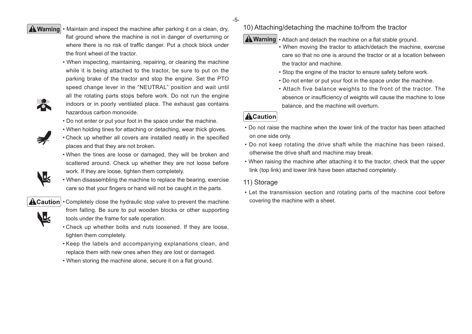A Warning • Maintain and inspect the machine after parking it on a clean, dry, flat ground where the machine is not in danger of overturning or where there is no risk of traffic danger. Put a chock block under the front wheel of the tractor.

- When inspecting, maintaining, repairing, or cleaning the machine while it is being attached to the tractor, be sure to put on the parking brake of the tractor and stop the engine. Set the PTO speed change lever in the "NEUTRAL" position and wait until all the rotating parts stops before work. Do not run the engine indoors or in poorly ventilated place. The exhaust gas contains hazardous carbon monoxide.
- . Do not enter or put your foot in the space under the machine.
- When holding tines for attaching or detaching, wear thick gloves.
- Check up whether all covers are installed neatly in the specified places and that they are not broken.
- When the tines are loose or damaged, they will be broken and scattered around. Check up whether they are not loose before work. If they are loose, tighten them completely.
- When disassembling the machine to replace the bearing, exercise care so that your fingers or hand will not be caught in the parts.

区<br>

 $\textbf{A}$  Caution  $\cdot$  Completely close the hydraulic stop valve to prevent the machine from falling. Be sure to put wooden blocks or other supporting tools under the frame for safe operation.

- Check up whether bolts and nuts loosened. If they are loose, tighten them completely.
- Keep the labels and accompanying explanations clean, and replace them with new ones when they are lost or damaged.
- . When storing the machine alone, secure it on a flat ground.

10) Attaching/detaching the machine to/from the tractor

 $\boxed{\blacktriangle$  Warning  $\cdot$  Attach and detach the machine on a flat stable ground.

- When moving the tractor to attach/detach the machine, exercise care so that no one is around the tractor or at a location between the tractor and machine.
- . Stop the engine of the tractor to ensure safety before work.
- . Do not enter or put your foot in the space under the machine.
- Attach five balance weights to the front of the tractor. The absence or insufficiency of weights will cause the machine to lose balance, and the machine will overturn.

### **ACaution**

- Do not raise the machine when the lower link of the tractor has been attached on one side only.
- Do not keep rotating the drive shaft while the machine has been raised, otherwise the drive shaft and machine may break.
- When raising the machine after attaching it to the tractor, check that the upper link (top link) and lower link have been attached completely.

#### 11) Storage

• Let the transmission section and rotating parts of the machine cool before covering the machine with a sheet.





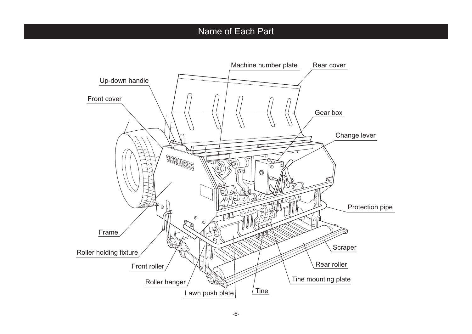## Name of Each Part

<span id="page-6-0"></span>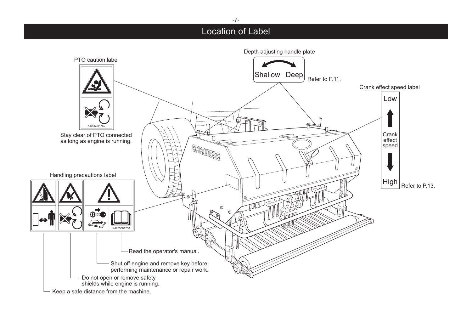## Location of Label

<span id="page-7-0"></span>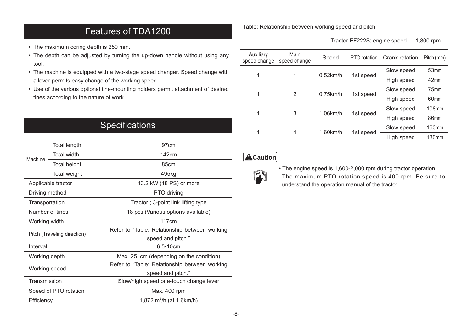## Features of TDA1200

- <span id="page-8-0"></span>• The maximum coring depth is 250 mm.
- The depth can be adjusted by turning the up-down handle without using any .tool
- The machine is equipped with a two-stage speed changer. Speed change with a lever permits easy change of the working speed.
- Use of the various optional tine-mounting holders permit attachment of desired tines according to the nature of work.

## **Specifications**

| Machine                     | <b>Total length</b> | 97cm                                          |  |  |  |  |
|-----------------------------|---------------------|-----------------------------------------------|--|--|--|--|
|                             | <b>Total width</b>  | 142cm                                         |  |  |  |  |
|                             | Total height        | 85cm                                          |  |  |  |  |
|                             | Total weight        | 495kg                                         |  |  |  |  |
|                             | Applicable tractor  | 13.2 kW (18 PS) or more                       |  |  |  |  |
| Driving method              |                     | PTO driving                                   |  |  |  |  |
| Transportation              |                     | Tractor; 3-point link lifting type            |  |  |  |  |
|                             | Number of tines     | 18 pcs (Various options available)            |  |  |  |  |
| Working width               |                     | 117cm                                         |  |  |  |  |
| Pitch (Traveling direction) |                     | Refer to "Table: Relationship between working |  |  |  |  |
|                             |                     | speed and pitch."                             |  |  |  |  |
| Interval                    |                     | $6.5 \cdot 10 cm$                             |  |  |  |  |
| Working depth               |                     | Max. 25 cm (depending on the condition)       |  |  |  |  |
| Working speed               |                     | Refer to "Table: Relationship between working |  |  |  |  |
|                             |                     | speed and pitch."                             |  |  |  |  |
| Transmission                |                     | Slow/high speed one-touch change lever        |  |  |  |  |
| Speed of PTO rotation       |                     | Max. 400 rpm                                  |  |  |  |  |
| Efficiency                  |                     | 1,872 $m^2/h$ (at 1.6km/h)                    |  |  |  |  |

Table: Relationship between working speed and pitch

Tractor EF222S; engine speed ... 1,800 rpm

| Auxiliary<br>speed change | Main<br>speed change          | Speed       | PTO rotation | Crank rotation   | Pitch (mm)        |
|---------------------------|-------------------------------|-------------|--------------|------------------|-------------------|
|                           |                               | $0.52$ km/h |              | Slow speed       | 53 <sub>mm</sub>  |
|                           |                               |             | 1st speed    | High speed       | 42mm              |
|                           | 2<br>$0.75$ km/h<br>1st speed |             | Slow speed   | 75 <sub>mm</sub> |                   |
|                           |                               |             | High speed   | 60 <sub>mm</sub> |                   |
|                           | 3                             | $1.06$ km/h | 1st speed    | Slow speed       | 108mm             |
|                           |                               |             |              | High speed       | 86 <sub>mm</sub>  |
|                           | 4                             | $1.60$ km/h | 1st speed    | Slow speed       | $163$ mm          |
|                           |                               |             |              | High speed       | 130 <sub>mm</sub> |

## $\Delta$ Caution



• The engine speed is 1,600-2,000 rpm during tractor operation. The maximum PTO rotation speed is 400 rpm. Be sure to understand the operation manual of the tractor.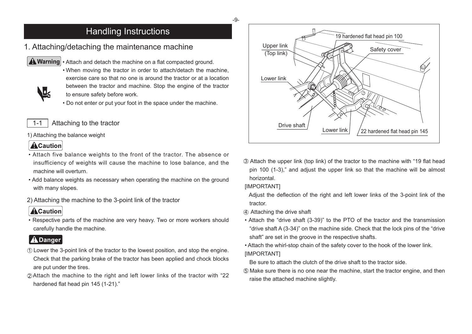## Handling Instructions

## <span id="page-9-0"></span>1. Attaching/detaching the maintenance machine



L,

A Warning • Attach and detach the machine on a flat compacted ground.

- When moving the tractor in order to attach/detach the machine, exercise care so that no one is around the tractor or at a location between the tractor and machine. Stop the engine of the tractor to ensure safety before work.
- . Do not enter or put your foot in the space under the machine.

#### 1-1 | Attaching to the tractor

1) Attaching the balance weight

### **ACaution**

- Attach five balance weights to the front of the tractor. The absence or insufficiency of weights will cause the machine to lose balance, and the machine will overturn
- Add balance weights as necessary when operating the machine on the ground with many slopes.
- 2) Attaching the machine to the 3-point link of the tractor

• Respective parts of the machine are very heavy. Two or more workers should carefully handle the machine.

- 10 Lower the 3-point link of the tractor to the lowest position, and stop the engine. Check that the parking brake of the tractor has been applied and chock blocks are put under the tires. insufficiency of weights will cause the machine to lose balance, and the<br>
"machine will overturn.<br>
• Add balance weights as necessary when operating the machine on the ground<br>
with many slopes.<br>
2) Attaching the machine to
- $\oslash$  Attach the machine to the right and left lower links of the tractor with "22" hardened flat head pin 145 (1-21)."



**3** Attach the upper link (top link) of the tractor to the machine with "19 flat head pin 100 (1-3)," and adjust the upper link so that the machine will be almost .horizontal

#### **IIMPORTANTI**

Adjust the deflection of the right and left lower links of the 3-point link of the .tractor

- 4) Attaching the drive shaft
- Attach the "drive shaft (3-39)" to the PTO of the tractor and the transmission "drive shaft A (3-34)" on the machine side. Check that the lock pins of the "drive" shaft" are set in the groove in the respective shafts. 45
- Attach the whirl-stop chain of the safety cover to the hook of the lower link. [IMPORTANT]
	- Be sure to attach the clutch of the drive shaft to the tractor side.
- $\circ$  Make sure there is no one near the machine, start the tractor engine, and then raise the attached machine slightly.

-9-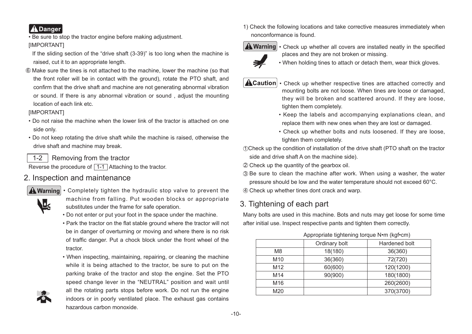<span id="page-10-0"></span>

. Be sure to stop the tractor engine before making adjustment.

#### [IMPORTANT]

- If the sliding section of the "drive shaft  $(3-39)$ " is too long when the machine is raised, cut it to an appropriate length.
- $\textcircled{\tiny{b}}$  Make sure the tines is not attached to the machine, lower the machine (so that the front roller will be in contact with the ground), rotate the PTO shaft, and confirm that the drive shaft and machine are not generating abnormal vibration or sound. If there is any abnormal vibration or sound, adjust the mounting location of each link etc.

#### [IMPORTANT]

- Do not raise the machine when the lower link of the tractor is attached on one side only.
- Do not keep rotating the drive shaft while the machine is raised, otherwise the drive shaft and machine may break.

1-2  $\vert$  Removing from the tractor

Reverse the procedure of  $\boxed{1-1}$  Attaching to the tractor.

### 2. Inspection and maintenance



- $\Delta$  Warning  $\cdot$  Completely tighten the hydraulic stop valve to prevent the machine from falling. Put wooden blocks or appropriate substitutes under the frame for safe operation.
	- . Do not enter or put your foot in the space under the machine.
	- Park the tractor on the flat stable ground where the tractor will not be in danger of overturning or moving and where there is no risk of traffic danger. Put a chock block under the front wheel of the .tractor
	- When inspecting, maintaining, repairing, or cleaning the machine while it is being attached to the tractor, be sure to put on the parking brake of the tractor and stop the engine. Set the PTO speed change lever in the "NEUTRAL" position and wait until all the rotating parts stops before work. Do not run the engine indoors or in poorly ventilated place. The exhaust gas contains hazardous carbon monoxide
	-

1) Check the following locations and take corrective measures immediately when nonconformance is found.



**A Warning**  $\cdot$  Check up whether all covers are installed neatly in the specified places and they are not broken or missing.



. When holding tines to attach or detach them, wear thick gloves.

- $\triangle$  Caution  $\cdot$  Check up whether respective tines are attached correctly and mounting bolts are not loose. When tines are loose or damaged, they will be broken and scattered around. If they are loose, tighten them completely.
	- Keep the labels and accompanying explanations clean, and replace them with new ones when they are lost or damaged.
	- Check up whether bolts and nuts loosened. If they are loose, tighten them completely.

 $\mathcal D$ Check up the condition of installation of the drive shaft (PTO shaft on the tractor side and drive shaft A on the machine side).

- $\mathfrak D$  Check up the quantity of the gearbox oil.
- $\mathfrak D$  Be sure to clean the machine after work. When using a washer, the water pressure should be low and the water temperature should not exceed  $60^{\circ}$ C.
- $4\!\!\!/\,$  Check up whether tines dont crack and warp.

## 3. Tightening of each part

Many bolts are used in this machine. Bots and nuts may get loose for some time after initial use. Inspect respective pants and tighten them correctly.

|                 | Ordinary bolt | Hardened bolt |
|-----------------|---------------|---------------|
| M8              | 18(180)       | 36(360)       |
| M <sub>10</sub> | 36(360)       | 72(720)       |
| M12             | 60(600)       | 120(1200)     |
| M14             | 90(900)       | 180(1800)     |
| M <sub>16</sub> |               | 260(2600)     |
| M20             |               | 370(3700)     |

#### Appropriate tightening torque N•m (kgf•cm)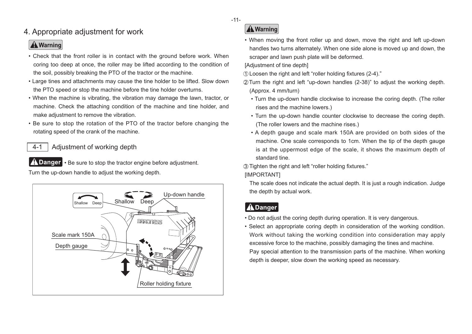## <span id="page-11-0"></span>4. Appropriate adjustment for work

## **A** Warning

- Check that the front roller is in contact with the ground before work. When coring too deep at once, the roller may be lifted according to the condition of the soil, possibly breaking the PTO of the tractor or the machine.
- Large tines and attachments may cause the tine holder to be lifted. Slow down the PTO speed or stop the machine before the tine holder overturns.
- When the machine is vibrating, the vibration may damage the lawn, tractor, or machine. Check the attaching condition of the machine and tine holder, and make adjustment to remove the vibration.
- Be sure to stop the rotation of the PTO of the tractor before changing the rotating speed of the crank of the machine.

### 4-1  $\vert$  Adjustment of working depth

 $\bigwedge$  Danger  $\cdot$  Be sure to stop the tractor engine before adjustment. Turn the up-down handle to adjust the working depth.



## **A** Warning

• When moving the front roller up and down, move the right and left up-down handles two turns alternately. When one side alone is moved up and down, the scraper and lawn push plate will be deformed.

[Adjustment of tine depth]

- $\odot$  Loosen the right and left "roller holding fixtures (2-4)."
- $Q$  Turn the right and left "up-down handles (2-38)" to adjust the working depth.  $(Approx. 4 mm/turn)$  $\frac{1}{2}$  3
	- Turn the up-down handle clockwise to increase the coring depth. (The roller rises and the machine lowers.)
	- . Turn the up-down handle counter clockwise to decrease the coring depth. (The roller lowers and the machine rises.)
	- A depth gauge and scale mark 150A are provided on both sides of the machine. One scale corresponds to 1cm. When the tip of the depth qauge is at the uppermost edge of the scale, it shows the maximum depth of standard tine

3 Tighten the right and left "roller holding fixtures."

#### **IIMPORTANTI**

The scale does not indicate the actual depth. It is just a rough indication. Judge the depth by actual work.

## **A** Danger

- . Do not adjust the coring depth during operation. It is very dangerous.
- . Select an appropriate coring depth in consideration of the working condition. Work without taking the working condition into consideration may apply excessive force to the machine, possibly damaging the tines and machine. Pay special attention to the transmission parts of the machine. When working depth is deeper, slow down the working speed as necessary.

-11-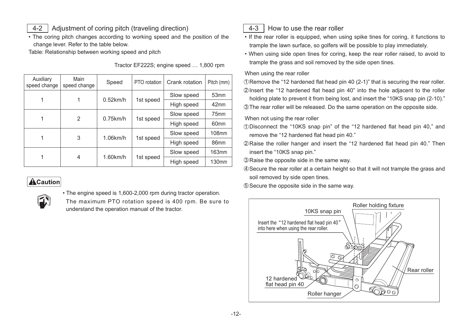- <span id="page-12-0"></span>4-2 | Adjustment of coring pitch (traveling direction)
- The coring pitch changes according to working speed and the position of the change lever. Refer to the table below.

Table: Relationship between working speed and pitch

| Auxiliary<br>speed change | Main<br>speed change | Speed       | PTO rotation | Crank rotation | Pitch (mm)        |
|---------------------------|----------------------|-------------|--------------|----------------|-------------------|
|                           |                      | $0.52$ km/h |              | Slow speed     | 53 <sub>mm</sub>  |
|                           |                      |             | 1st speed    | High speed     | 42mm              |
|                           | 2                    | $0.75$ km/h | 1st speed    | Slow speed     | 75 <sub>mm</sub>  |
| 1                         |                      |             |              | High speed     | 60 <sub>mm</sub>  |
| 1                         | 3                    | $1.06$ km/h | 1st speed    | Slow speed     | <b>108mm</b>      |
|                           |                      |             |              | High speed     | 86 <sub>mm</sub>  |
|                           | 4                    | $1.60$ km/h | 1st speed    | Slow speed     | $163$ mm          |
|                           |                      |             |              | High speed     | 130 <sub>mm</sub> |

Tractor EF222S; engine speed ... 1,800 rpm

## **ACaution**



• The engine speed is 1,600-2,000 rpm during tractor operation.

The maximum PTO rotation speed is 400 rpm. Be sure to understand the operation manual of the tractor.



#### 4-3  $\parallel$  How to use the rear roller

- If the rear roller is equipped, when using spike tines for coring, it functions to trample the lawn surface, so golfers will be possible to play immediately.
- When using side open tines for coring, keep the rear roller raised, to avoid to trample the grass and soil removed by the side open tines.

#### When using the rear roller

 $\odot$  Remove the "12 hardened flat head pin 40 (2-1)" that is securing the rear roller.  $\Omega$  insert the "12 hardened flat head pin 40" into the hole adiacent to the roller holding plate to prevent it from being lost, and insert the "10KS snap pin (2-10)." 1 2 3 V 1 2 3

The rear roller will be released. Do the same operation on the opposite side.

When not using the rear roller

- $\Omega$  Disconnect the "10KS snap pin" of the "12 hardened flat head pin 40," and remove the "12 hardened flat head pin 40."
- 2 Raise the roller hanger and insert the "12 hardened flat head pin 40." Then insert the "10KS snap pin."

**The Shaise the opposite side in the same way.** 

- 4) Secure the rear roller at a certain height so that it will not trample the grass and soil removed by side open tines.  $\frac{4}{5}$
- **6.** Secure the opposite side in the same way.

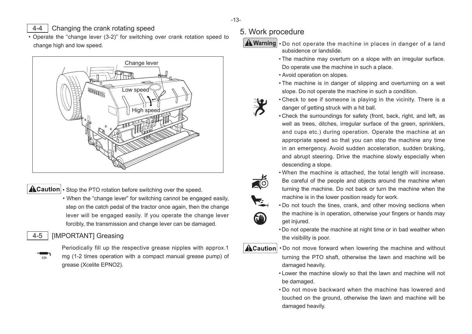#### <span id="page-13-0"></span>4-4 Changing the crank rotating speed

• Operate the "change lever (3-2)" for switching over crank rotation speed to change high and low speed.



 $\triangle$ Caution  $\cdot$  Stop the PTO rotation before switching over the speed.

• When the "change lever" for switching cannot be engaged easily, step on the catch pedal of the tractor once again, then the change lever will be engaged easily. If you operate the change lever forcibly, the transmission and change lever can be damaged.

#### 4-5 | IIMPORTANTI Greasing



Periodically fill up the respective grease nipples with approx.1 mg (1-2 times operation with a compact manual grease pump) of qrease (Xcelite EPNO2).

### 5. Work procedure



**A Warning** . Do not operate the machine in places in danger of a land subsidence or landslide.

- The machine may overturn on a slope with an irregular surface. Do operate use the machine in such a place.
- Avoid operation on slopes.
- The machine is in danger of slipping and overturning on a wet slope. Do not operate the machine in such a condition.
- Check to see if someone is playing in the vicinity. There is a danger of getting struck with a hit ball.
- Check the surroundings for safety (front, back, right, and left, as well as trees, ditches, irregular surface of the green, sprinklers, and cups etc.) during operation. Operate the machine at an appropriate speed so that you can stop the machine any time in an emergency. Avoid sudden acceleration, sudden braking, and abrupt steering. Drive the machine slowly especially when descending a slope.



. When the machine is attached, the total length will increase. Be careful of the people and objects around the machine when turning the machine. Do not back or turn the machine when the machine is in the lower position ready for work.

- Do not touch the tines, crank, and other moving sections when the machine is in operation, otherwise your fingers or hands may aet injured.
- Do not operate the machine at night time or in bad weather when the visibility is poor.

**FAN** 

- $\triangle$  Caution  $\cdot$  Do not move forward when lowering the machine and without turning the PTO shaft, otherwise the lawn and machine will be damaged heavily.
	- Lower the machine slowly so that the lawn and machine will not be damaged.
	- Do not move backward when the machine has lowered and touched on the ground, otherwise the lawn and machine will be damaged heavily.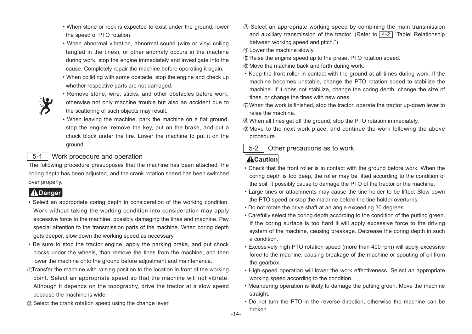- When stone or rock is expected to exist under the ground, lower the speed of PTO rotation.
- When abnormal vibration, abnormal sound (wire or vinyl coiling tangled in the tines), or other anomaly occurs in the machine during work, stop the engine immediately and investigate into the cause. Completely repair the machine before operating it again.
- When colliding with some obstacle, stop the engine and check up whether respective parts are not damaged.



- Remove stone, wire, sticks, and other obstacles before work, otherwise not only machine trouble but also an accident due to the scattering of such objects may result.
- When leaving the machine, park the machine on a flat ground, stop the engine, remove the key, put on the brake, and put a chock block under the tire. Lower the machine to put it on the .ground

#### 5-1 | Work procedure and operation

The following procedure presupposes that the machine has been attached, the coring depth has been adjusted, and the crank rotation speed has been switched over properly.

- <span id="page-14-0"></span>. Select an appropriate coring depth in consideration of the working condition. Work without taking the working condition into consideration may apply excessive force to the machine, possibly damaging the tines and machine. Pay special attention to the transmission parts of the machine. When coring depth gets deeper, slow down the working speed as necessary. Then store for rock is expected to exist under the ground, lower<br>
the speed of PTO rotation, abnormal sound (wire or vinyl colling<br>
tangle in the times), or other anomaly occurs in the mathine<br>
during work, stop the engine
- Be sure to stop the tractor engine, apply the parking brake, and put chock blocks under the wheels, than remove the tines from the machine, and then lower the machine onto the ground before adjustment and maintenance.
- $\bigcap$ Transfer the machine with raising position to the location in front of the working point. Select an appropriate speed so that the machine will not vibrate. Although it depends on the topography, drive the tractor at a slow speed because the machine is wide.
- 2 Select the crank rotation speed using the change lever.
- 3 Select an appropriate working speed by combining the main transmission and auxiliary transmission of the tractor. (Refer to  $\sqrt{4-2}$  "Table: Relationship between working speed and pitch.")
- 4) Lower the machine slowly.
- **6**) Raise the engine speed up to the preset PTO rotation speed.
- $\rm \odot$  Move the machine back and forth during work.
- Keep the front roller in contact with the ground at all times during work. If the machine becomes unstable, change the PTO rotation speed to stabilize the machine. If it does not stabilize, change the coring depth, change the size of tines, or change the tines with new ones.
- $\mathcal D$ When the work is finished, stop the tractor, operate the tractor up-down lever to raise the machine.
- $\rm \otimes$  When all tines get off the ground, stop the PTO rotation immediately.
- $\textcircled{\tiny{3}}$  Move to the next work place, and continue the work following the above .procedure
- $5-2$  | Other precautions as to work

- Check that the front roller is in contact with the ground before work. When the coring depth is too deep, the roller may be lifted according to the condition of the soil, it possibly cause to damage the PTO of the tractor or the machine.
- Large tines or attachments may cause the tine holder to be lifted. Slow down the PTO speed or stop the machine before the tine holder overturns.
- . Do not rotate the drive shaft at an angle exceeding 30 degrees.
- Carefully select the coring depth according to the condition of the putting green. If the coring surface is too hard it will apply excessive force to the driving system of the machine, causing breakage. Decrease the coring depth in such a condition.
- Excessively high PTO rotation speed (more than 400 rpm) will apply excessive force to the machine, causing breakage of the machine or spouting of oil from the gearbox.
- High-speed operation will lower the work effectiveness. Select an appropriate working speed according to the condition.
- Meandering operation is likely to damage the putting green. Move the machine straight.
- Do not turn the PTO in the reverse direction, otherwise the machine can be .broken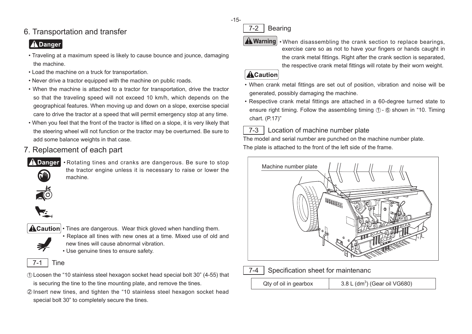## <span id="page-15-0"></span>6. Transportation and transfer

## **ADanger**

- Traveling at a maximum speed is likely to cause bounce and jounce, damaging the machine.
- Load the machine on a truck for transportation.
- Never drive a tractor equipped with the machine on public roads.
- When the machine is attached to a tractor for transportation, drive the tractor so that the traveling speed will not exceed 10 km/h, which depends on the geographical features. When moving up and down on a slope, exercise special care to drive the tractor at a speed that will permit emergency stop at any time.
- When you feel that the front of the tractor is lifted on a slope, it is very likely that the steering wheel will not function or the tractor may be overturned. Be sure to add some balance weights in that case.
- 7. Replacement of each part
- 

 $\sqrt{2}$  Danger • Rotating tines and cranks are dangerous. Be sure to stop the tractor engine unless it is necessary to raise or lower the machine.



**TESTING** 



 $\triangle$ Caution  $\cdot$  Tines are dangerous. Wear thick gloved when handling them. • Replace all tines with new ones at a time. Mixed use of old and new tines will cause abnormal vibration.

• Use genuine tines to ensure safety.



- $\mathfrak D$  Loosen the "10 stainless steel hexagon socket head special bolt 30" (4-55) that is securing the tine to the tine mounting plate, and remove the tines.
- $\widehat{\text{\sf 2}}$  lnsert new tines, and tighten the "10 stainless steel hexagon socket head special bolt 30" to completely secure the tines.

 $7-2$  Bearing

 $\triangle$  Warning  $\cdot$  When disassembling the crank section to replace bearings, exercise care so as not to have your fingers or hands caught in the crank metal fittings. Right after the crank section is separated, the respective crank metal fittings will rotate by their worn weight.

### **ACaution**

- When crank metal fittings are set out of position, vibration and noise will be generated, possibly damaging the machine.
- Respective crank metal fittings are attached in a 60-degree turned state to ensure right timing. Follow the assembling timing  $\oplus$  -  $\circledS$  shown in "10. Timing chart. (P.17)"

## $7-3$  Location of machine number plate

The model and serial number are punched on the machine number plate. The plate is attached to the front of the left side of the frame.





### $7-4$  Specification sheet for maintenanc

Qty of oil in gearbox

 $3.8 L$  (dm<sup>3</sup>) (Gear oil VG680)

-15-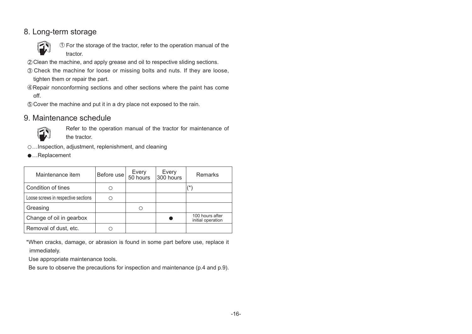## <span id="page-16-0"></span>8. Long-term storage



 $\mathfrak I$  For the storage of the tractor, refer to the operation manual of the  $\overline{\phantom{a}}$ .tractor

- $Q$  Clean the machine, and apply grease and oil to respective sliding sections.
- 3) Check the machine for loose or missing bolts and nuts. If they are loose, tighten them or repair the part.
- @Repair nonconforming sections and other sections where the paint has come off. 2<br>3<br>4<br>5
- **6** Cover the machine and put it in a dry place not exposed to the rain.

#### 9. Maintenance schedule



Refer to the operation manual of the tractor for maintenance of the tractor.

- ○...Inspection, adjustment, replenishment, and cleaning
- ●…Replacement

| Maintenance item                    | Before use | Every<br>50 hours | Every<br>300 hours | Remarks                              |
|-------------------------------------|------------|-------------------|--------------------|--------------------------------------|
| Condition of tines                  |            |                   |                    | (* )                                 |
| Loose screws in respective sections |            |                   |                    |                                      |
| Greasing                            |            | O                 |                    |                                      |
| Change of oil in gearbox            |            |                   |                    | 100 hours after<br>initial operation |
| Removal of dust, etc.               |            |                   |                    |                                      |

\*When cracks, damage, or abrasion is found in some part before use, replace it immediately.

Use appropriate maintenance tools.

Be sure to observe the precautions for inspection and maintenance ( $p.4$  and  $p.9$ ).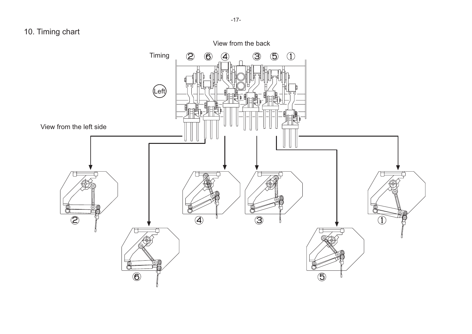## <span id="page-17-0"></span>10. Timing chart